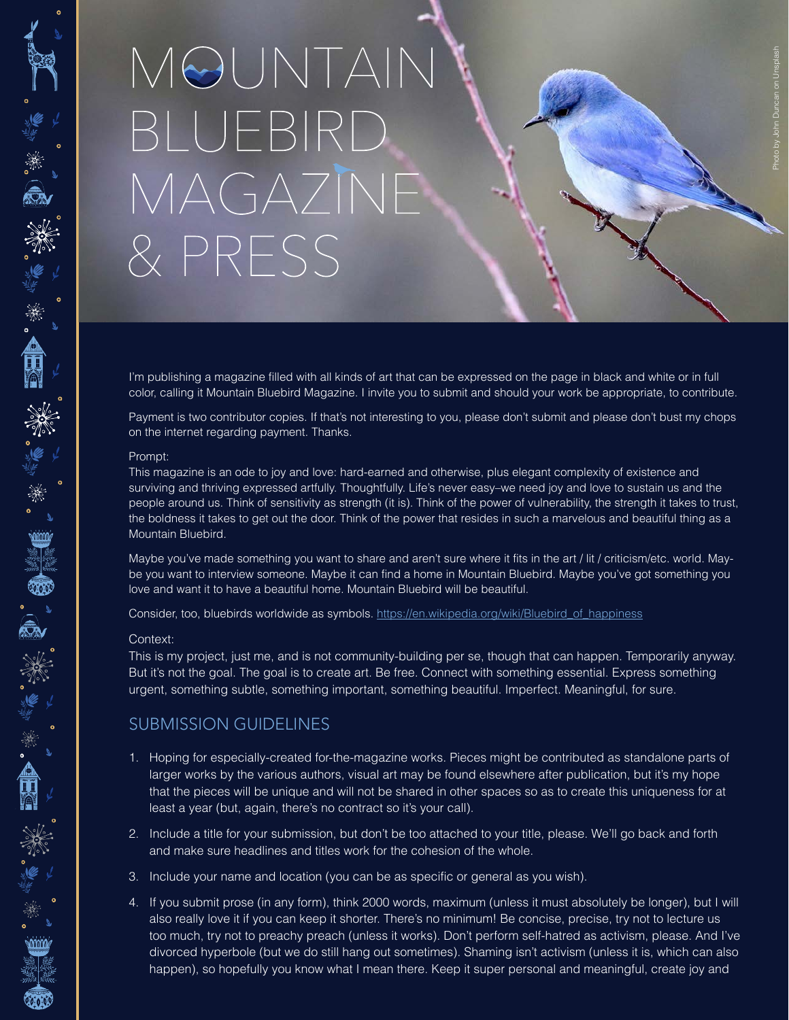## MOUNTAIN BLUEBIRD MAGAZINE & PRESS

I'm publishing a magazine filled with all kinds of art that can be expressed on the page in black and white or in full color, calling it Mountain Bluebird Magazine. I invite you to submit and should your work be appropriate, to contribute.

Payment is two contributor copies. If that's not interesting to you, please don't submit and please don't bust my chops on the internet regarding payment. Thanks.

#### Prompt:

\*\*\*\*\*\*\*\*\*\*\*\*\*\*\*

一、半、八、三、

"举"震"类

This magazine is an ode to joy and love: hard-earned and otherwise, plus elegant complexity of existence and surviving and thriving expressed artfully. Thoughtfully. Life's never easy–we need joy and love to sustain us and the people around us. Think of sensitivity as strength (it is). Think of the power of vulnerability, the strength it takes to trust, the boldness it takes to get out the door. Think of the power that resides in such a marvelous and beautiful thing as a Mountain Bluebird.

Maybe you've made something you want to share and aren't sure where it fits in the art / lit / criticism/etc. world. Maybe you want to interview someone. Maybe it can find a home in Mountain Bluebird. Maybe you've got something you love and want it to have a beautiful home. Mountain Bluebird will be beautiful.

Consider, too, bluebirds worldwide as symbols. https://en.wikipedia.org/wiki/Bluebird\_of\_happiness

#### Context:

This is my project, just me, and is not community-building per se, though that can happen. Temporarily anyway. But it's not the goal. The goal is to create art. Be free. Connect with something essential. Express something urgent, something subtle, something important, something beautiful. Imperfect. Meaningful, for sure.

### SUBMISSION GUIDELINES

- 1. Hoping for especially-created for-the-magazine works. Pieces might be contributed as standalone parts of larger works by the various authors, visual art may be found elsewhere after publication, but it's my hope that the pieces will be unique and will not be shared in other spaces so as to create this uniqueness for at least a year (but, again, there's no contract so it's your call).
- 2. Include a title for your submission, but don't be too attached to your title, please. We'll go back and forth and make sure headlines and titles work for the cohesion of the whole.
- 3. Include your name and location (you can be as specific or general as you wish).
- 4. If you submit prose (in any form), think 2000 words, maximum (unless it must absolutely be longer), but I will also really love it if you can keep it shorter. There's no minimum! Be concise, precise, try not to lecture us too much, try not to preachy preach (unless it works). Don't perform self-hatred as activism, please. And I've divorced hyperbole (but we do still hang out sometimes). Shaming isn't activism (unless it is, which can also happen), so hopefully you know what I mean there. Keep it super personal and meaningful, create joy and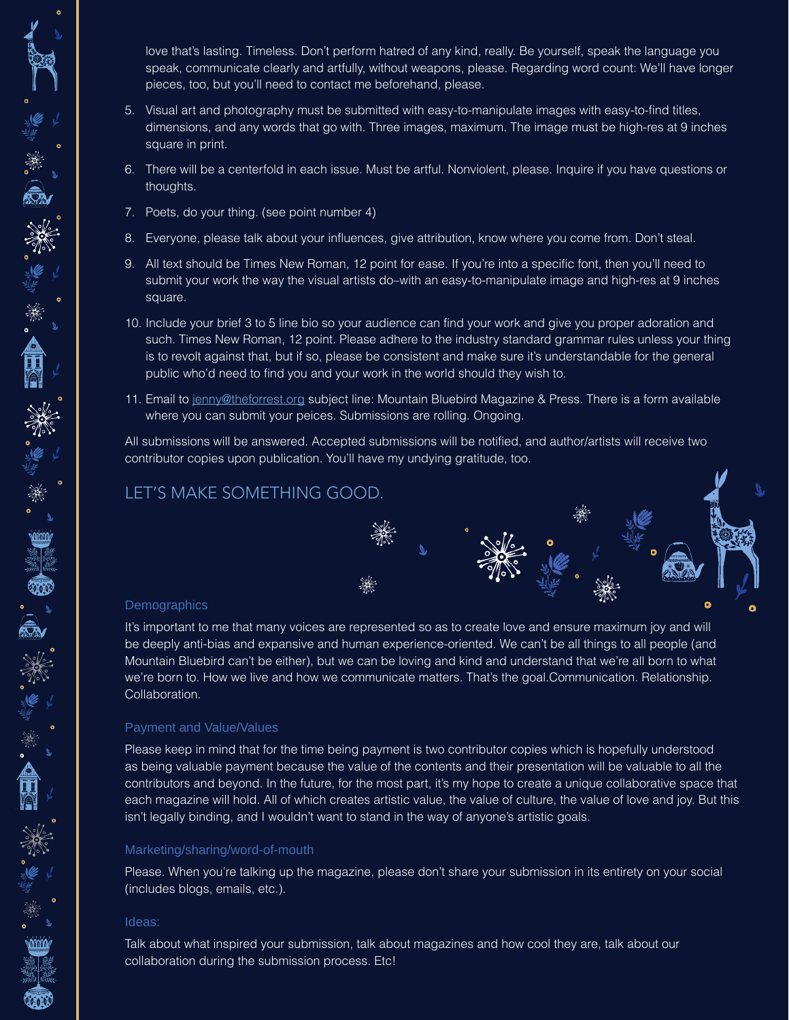love that's lasting. Timeless. Don't perform hatred of any kind, really. Be yourself, speak the language you speak, communicate clearly and artfully, without weapons, please. Regarding word count: We'll have longer pieces, too, but you'll need to contact me beforehand, please.

- 5. Visual art and photography must be submitted with easy-to-manipulate images with easy-to-find titles, dimensions, and any words that go with. Three images, maximum. The image must be high-res at 9 inches square in print.
- 6. There will be a centerfold in each issue. Must be artful. Nonviolent, please. Inquire if you have questions or thoughts.
- 7. Poets, do your thing. (see point number 4)
- 8. Everyone, please talk about your influences, give attribution, know where you come from. Don't steal.
- 9. All text should be Times New Roman, 12 point for ease. If you're into a specific font, then you'll need to submit your work the way the visual artists do–with an easy-to-manipulate image and high-res at 9 inches square.
- 10. Include your brief 3 to 5 line bio so your audience can find your work and give you proper adoration and such. Times New Roman, 12 point. Please adhere to the industry standard grammar rules unless your thing is to revolt against that, but if so, please be consistent and make sure it's understandable for the general public who'd need to find you and your work in the world should they wish to.
- 11. Email to jenny@theforrest.org subject line: Mountain Bluebird Magazine & Press. There is a form available where you can submit your peices. Submissions are rolling. Ongoing.

All submissions will be answered. Accepted submissions will be notified, and author/artists will receive two contributor copies upon publication. You'll have my undying gratitude, too.

# LET'S MAKE SOMETHING GOOD.  $\bullet$

#### **Demographics**

ANGEL AREA

"举意"类

It's important to me that many voices are represented so as to create love and ensure maximum joy and will be deeply anti-bias and expansive and human experience-oriented. We can't be all things to all people (and Mountain Bluebird can't be either), but we can be loving and kind and understand that we're all born to what we're born to. How we live and how we communicate matters. That's the goal.Communication. Relationship. Collaboration.

#### Payment and Value/Values

Please keep in mind that for the time being payment is two contributor copies which is hopefully understood as being valuable payment because the value of the contents and their presentation will be valuable to all the contributors and beyond. In the future, for the most part, it's my hope to create a unique collaborative space that each magazine will hold. All of which creates artistic value, the value of culture, the value of love and joy. But this isn't legally binding, and I wouldn't want to stand in the way of anyone's artistic goals.

#### Marketing/sharing/word-of-mouth

Please. When you're talking up the magazine, please don't share your submission in its entirety on your social (includes blogs, emails, etc.).

#### Ideas:

Talk about what inspired your submission, talk about magazines and how cool they are, talk about our collaboration during the submission process. Etc!